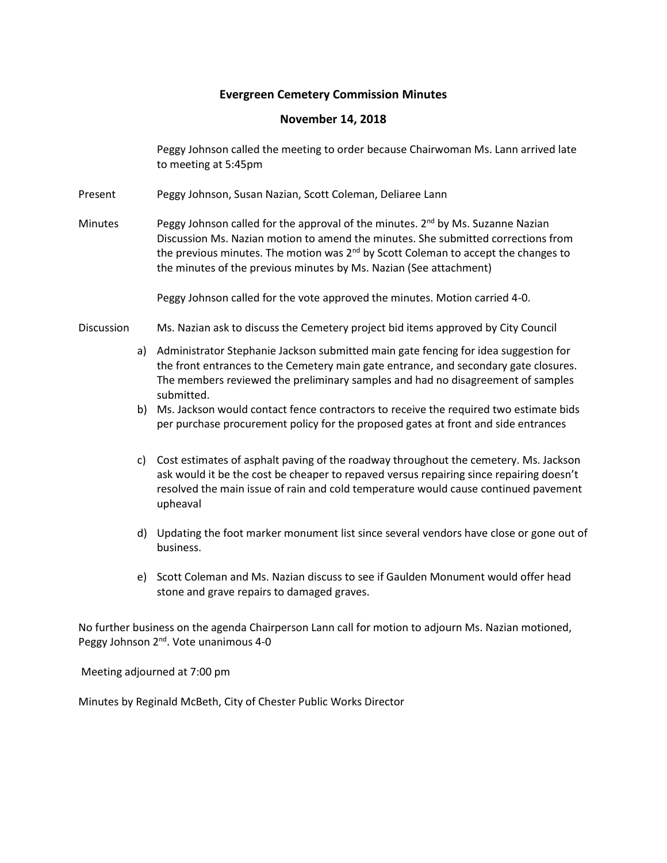# **Evergreen Cemetery Commission Minutes**

# **November 14, 2018**

Peggy Johnson called the meeting to order because Chairwoman Ms. Lann arrived late to meeting at 5:45pm

- Present Peggy Johnson, Susan Nazian, Scott Coleman, Deliaree Lann
- Minutes Peggy Johnson called for the approval of the minutes. 2<sup>nd</sup> by Ms. Suzanne Nazian Discussion Ms. Nazian motion to amend the minutes. She submitted corrections from the previous minutes. The motion was  $2<sup>nd</sup>$  by Scott Coleman to accept the changes to the minutes of the previous minutes by Ms. Nazian (See attachment)

Peggy Johnson called for the vote approved the minutes. Motion carried 4-0.

- Discussion Ms. Nazian ask to discuss the Cemetery project bid items approved by City Council
	- a) Administrator Stephanie Jackson submitted main gate fencing for idea suggestion for the front entrances to the Cemetery main gate entrance, and secondary gate closures. The members reviewed the preliminary samples and had no disagreement of samples submitted.
	- b) Ms. Jackson would contact fence contractors to receive the required two estimate bids per purchase procurement policy for the proposed gates at front and side entrances
	- c) Cost estimates of asphalt paving of the roadway throughout the cemetery. Ms. Jackson ask would it be the cost be cheaper to repaved versus repairing since repairing doesn't resolved the main issue of rain and cold temperature would cause continued pavement upheaval
	- d) Updating the foot marker monument list since several vendors have close or gone out of business.
	- e) Scott Coleman and Ms. Nazian discuss to see if Gaulden Monument would offer head stone and grave repairs to damaged graves.

No further business on the agenda Chairperson Lann call for motion to adjourn Ms. Nazian motioned, Peggy Johnson 2<sup>nd</sup>. Vote unanimous 4-0

Meeting adjourned at 7:00 pm

Minutes by Reginald McBeth, City of Chester Public Works Director